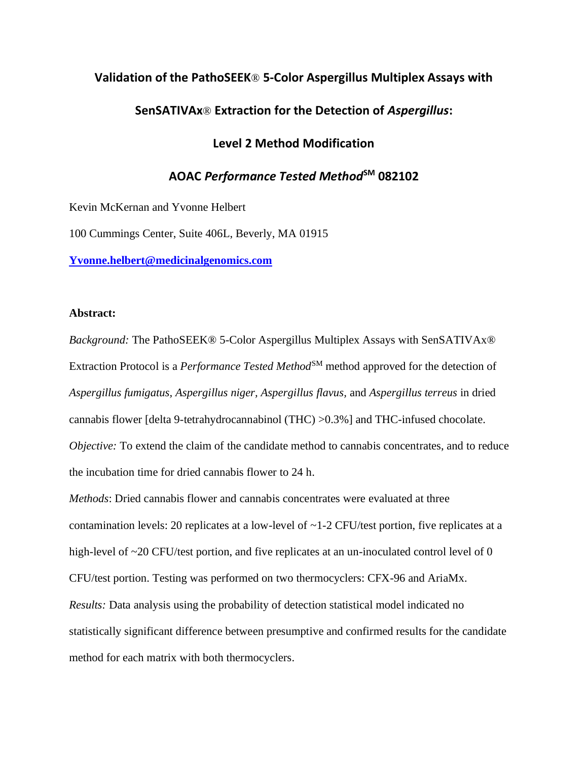### **Validation of the PathoSEEK**® **5-Color Aspergillus Multiplex Assays with**

### **SenSATIVAx**® **Extraction for the Detection of** *Aspergillus***:**

### **Level 2 Method Modification**

# **AOAC** *Performance Tested Method***SM 082102**

Kevin McKernan and Yvonne Helbert

100 Cummings Center, Suite 406L, Beverly, MA 01915

**[Yvonne.helbert@medicinalgenomics.com](mailto:Yvonne.helbert@medicinalgenomics.com)**

### **Abstract:**

*Background:* The PathoSEEK® 5-Color Aspergillus Multiplex Assays with SenSATIVAx® Extraction Protocol is a *Performance Tested Method*<sup>SM</sup> method approved for the detection of *Aspergillus fumigatus, Aspergillus niger, Aspergillus flavus,* and *Aspergillus terreus* in dried cannabis flower [delta 9-tetrahydrocannabinol (THC) >0.3%] and THC-infused chocolate. *Objective:* To extend the claim of the candidate method to cannabis concentrates, and to reduce the incubation time for dried cannabis flower to 24 h.

*Methods*: Dried cannabis flower and cannabis concentrates were evaluated at three contamination levels: 20 replicates at a low-level of ~1-2 CFU/test portion, five replicates at a high-level of ~20 CFU/test portion, and five replicates at an un-inoculated control level of 0 CFU/test portion. Testing was performed on two thermocyclers: CFX-96 and AriaMx. *Results:* Data analysis using the probability of detection statistical model indicated no statistically significant difference between presumptive and confirmed results for the candidate method for each matrix with both thermocyclers.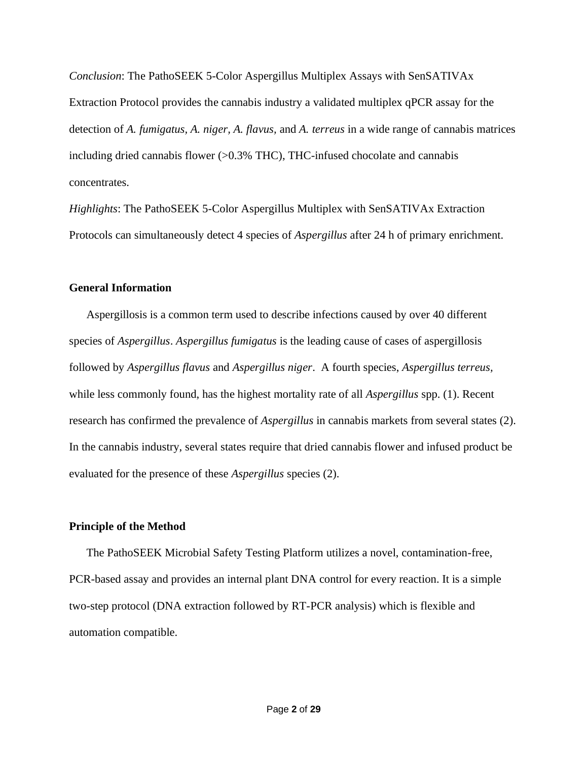*Conclusion*: The PathoSEEK 5-Color Aspergillus Multiplex Assays with SenSATIVAx Extraction Protocol provides the cannabis industry a validated multiplex qPCR assay for the detection of *A. fumigatus, A. niger, A. flavus,* and *A. terreus* in a wide range of cannabis matrices including dried cannabis flower (>0.3% THC), THC-infused chocolate and cannabis concentrates.

*Highlights*: The PathoSEEK 5-Color Aspergillus Multiplex with SenSATIVAx Extraction Protocols can simultaneously detect 4 species of *Aspergillus* after 24 h of primary enrichment.

### **General Information**

Aspergillosis is a common term used to describe infections caused by over 40 different species of *Aspergillus*. *Aspergillus fumigatus* is the leading cause of cases of aspergillosis followed by *Aspergillus flavus* and *Aspergillus niger*. A fourth species, *Aspergillus terreus,*  while less commonly found, has the highest mortality rate of all *Aspergillus* spp. (1). Recent research has confirmed the prevalence of *Aspergillus* in cannabis markets from several states (2). In the cannabis industry, several states require that dried cannabis flower and infused product be evaluated for the presence of these *Aspergillus* species (2).

#### **Principle of the Method**

The PathoSEEK Microbial Safety Testing Platform utilizes a novel, contamination-free, PCR-based assay and provides an internal plant DNA control for every reaction. It is a simple two-step protocol (DNA extraction followed by RT-PCR analysis) which is flexible and automation compatible.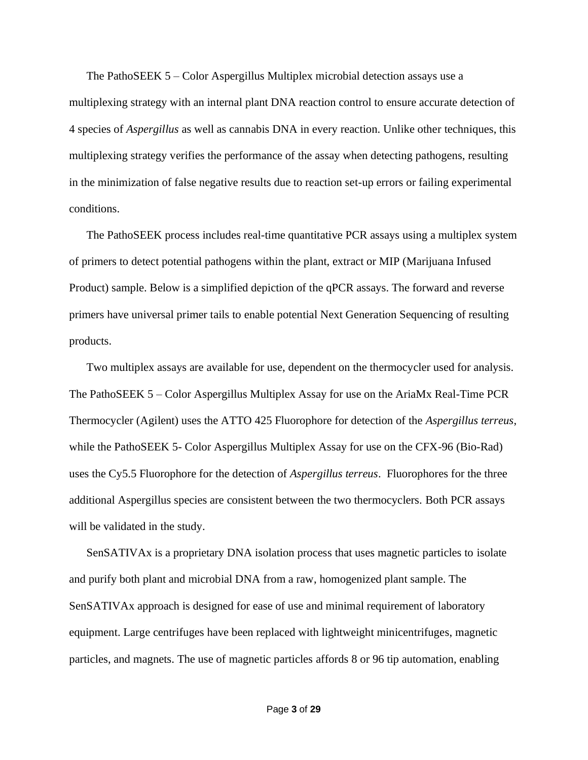The PathoSEEK 5 – Color Aspergillus Multiplex microbial detection assays use a multiplexing strategy with an internal plant DNA reaction control to ensure accurate detection of 4 species of *Aspergillus* as well as cannabis DNA in every reaction. Unlike other techniques, this multiplexing strategy verifies the performance of the assay when detecting pathogens, resulting in the minimization of false negative results due to reaction set-up errors or failing experimental conditions.

The PathoSEEK process includes real-time quantitative PCR assays using a multiplex system of primers to detect potential pathogens within the plant, extract or MIP (Marijuana Infused Product) sample. Below is a simplified depiction of the qPCR assays. The forward and reverse primers have universal primer tails to enable potential Next Generation Sequencing of resulting products.

Two multiplex assays are available for use, dependent on the thermocycler used for analysis. The PathoSEEK 5 – Color Aspergillus Multiplex Assay for use on the AriaMx Real-Time PCR Thermocycler (Agilent) uses the ATTO 425 Fluorophore for detection of the *Aspergillus terreus*, while the PathoSEEK 5- Color Aspergillus Multiplex Assay for use on the CFX-96 (Bio-Rad) uses the Cy5.5 Fluorophore for the detection of *Aspergillus terreus*. Fluorophores for the three additional Aspergillus species are consistent between the two thermocyclers. Both PCR assays will be validated in the study.

SenSATIVAx is a proprietary DNA isolation process that uses magnetic particles to isolate and purify both plant and microbial DNA from a raw, homogenized plant sample. The SenSATIVAx approach is designed for ease of use and minimal requirement of laboratory equipment. Large centrifuges have been replaced with lightweight minicentrifuges, magnetic particles, and magnets. The use of magnetic particles affords 8 or 96 tip automation, enabling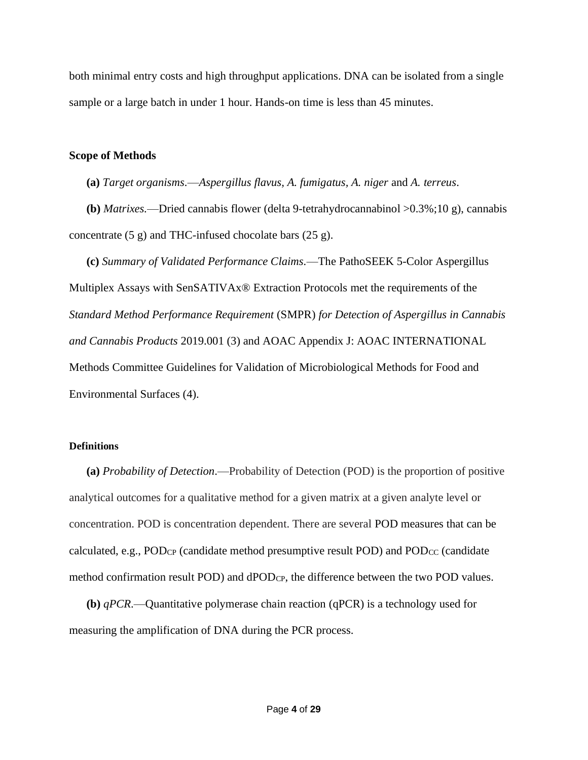both minimal entry costs and high throughput applications. DNA can be isolated from a single sample or a large batch in under 1 hour. Hands-on time is less than 45 minutes.

### **Scope of Methods**

**(a)** *Target organisms.*—*Aspergillus flavus, A. fumigatus, A. niger* and *A. terreus*.

**(b)** *Matrixes.*—Dried cannabis flower (delta 9-tetrahydrocannabinol >0.3%;10 g), cannabis concentrate (5 g) and THC-infused chocolate bars (25 g).

**(c)** *Summary of Validated Performance Claims.*—The PathoSEEK 5-Color Aspergillus Multiplex Assays with SenSATIVAx® Extraction Protocols met the requirements of the *Standard Method Performance Requirement* (SMPR) *for Detection of Aspergillus in Cannabis and Cannabis Products* 2019.001 (3) and AOAC Appendix J: AOAC INTERNATIONAL Methods Committee Guidelines for Validation of Microbiological Methods for Food and Environmental Surfaces (4).

### **Definitions**

**(a)** *Probability of Detection*.—Probability of Detection (POD) is the proportion of positive analytical outcomes for a qualitative method for a given matrix at a given analyte level or concentration. POD is concentration dependent. There are several POD measures that can be calculated, e.g.,  $POD_{CP}$  (candidate method presumptive result POD) and  $POD_{CC}$  (candidate method confirmation result POD) and dPODCP, the difference between the two POD values.

**(b)** *qPCR*.—Quantitative polymerase chain reaction (qPCR) is a technology used for measuring the amplification of DNA during the PCR process.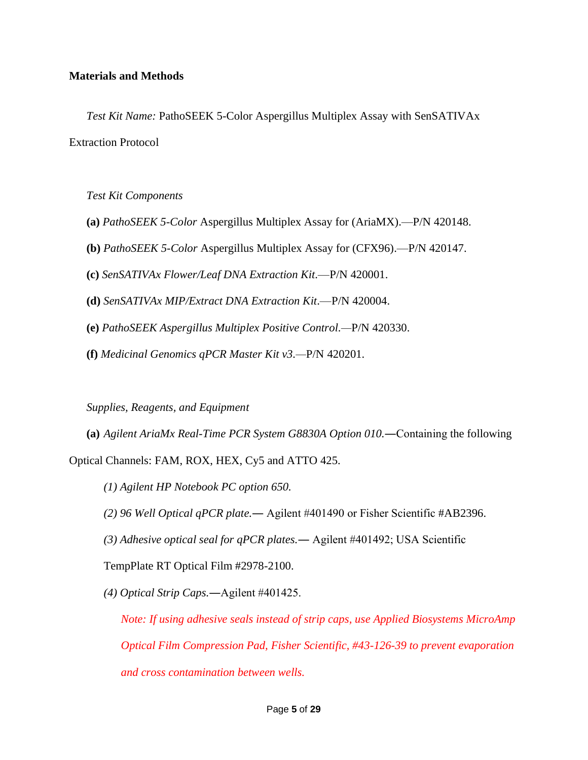### **Materials and Methods**

*Test Kit Name:* PathoSEEK 5-Color Aspergillus Multiplex Assay with SenSATIVAx Extraction Protocol

*Test Kit Components*

- **(a)** *PathoSEEK 5-Color* Aspergillus Multiplex Assay for (AriaMX).—P/N 420148.
- **(b)** *PathoSEEK 5-Color* Aspergillus Multiplex Assay for (CFX96).—P/N 420147.
- **(c)** *SenSATIVAx Flower/Leaf DNA Extraction Kit*.—P/N 420001.
- **(d)** *SenSATIVAx MIP/Extract DNA Extraction Kit*.—P/N 420004.
- **(e)** *PathoSEEK Aspergillus Multiplex Positive Control.—*P/N 420330.
- **(f)** *Medicinal Genomics qPCR Master Kit v3.—*P/N 420201.

*Supplies, Reagents, and Equipment*

**(a)** *Agilent AriaMx Real-Time PCR System G8830A Option 010.*―Containing the following Optical Channels: FAM, ROX, HEX, Cy5 and ATTO 425.

- *(1) Agilent HP Notebook PC option 650.*
- *(2) 96 Well Optical qPCR plate.*― Agilent #401490 or Fisher Scientific #AB2396.
- *(3) Adhesive optical seal for qPCR plates.*― Agilent #401492; USA Scientific

TempPlate RT Optical Film #2978-2100.

*(4) Optical Strip Caps.*―Agilent #401425.

*Note: If using adhesive seals instead of strip caps, use Applied Biosystems MicroAmp Optical Film Compression Pad, Fisher Scientific, #43-126-39 to prevent evaporation and cross contamination between wells.*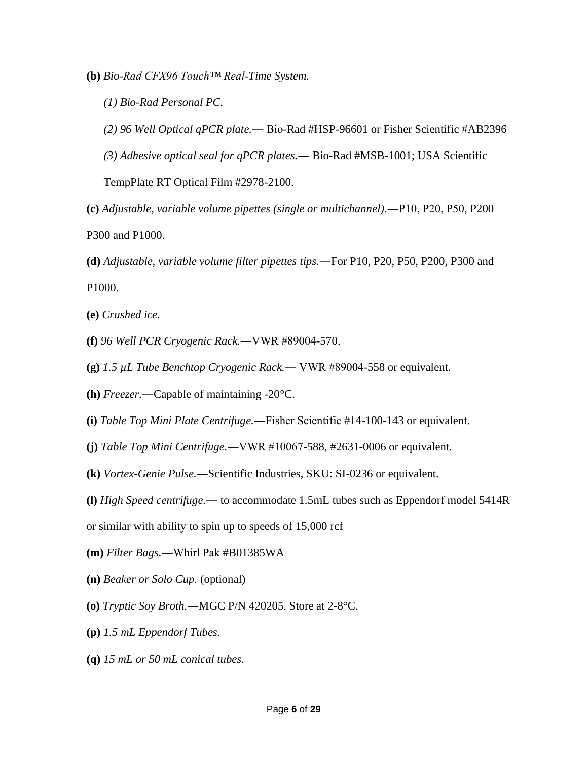**(b)** *Bio-Rad CFX96 Touch™ Real-Time System.*

- *(1) Bio-Rad Personal PC.*
- *(2) 96 Well Optical qPCR plate.*― Bio-Rad #HSP-96601 or Fisher Scientific #AB2396
- *(3) Adhesive optical seal for qPCR plates.*― Bio-Rad #MSB-1001; USA Scientific

TempPlate RT Optical Film #2978-2100.

- **(c)** *Adjustable, variable volume pipettes (single or multichannel).*―P10, P20, P50, P200 P300 and P1000.
- **(d)** *Adjustable, variable volume filter pipettes tips.*―For P10, P20, P50, P200, P300 and P1000.
- **(e)** *Crushed ice.*
- **(f)** *96 Well PCR Cryogenic Rack.*―VWR #89004-570.
- **(g)** *1.5 µL Tube Benchtop Cryogenic Rack.*― VWR #89004-558 or equivalent.
- **(h)** *Freezer.*―Capable of maintaining -20°C.
- **(i)** *Table Top Mini Plate Centrifuge.*―Fisher Scientific #14-100-143 or equivalent.
- **(j)** *Table Top Mini Centrifuge.*―VWR #10067-588, #2631-0006 or equivalent.
- **(k)** *Vortex-Genie Pulse.*―Scientific Industries, SKU: SI-0236 or equivalent.
- **(l)** *High Speed centrifuge.*― to accommodate 1.5mL tubes such as Eppendorf model 5414R

or similar with ability to spin up to speeds of 15,000 rcf

- **(m)** *Filter Bags.*―Whirl Pak #B01385WA
- **(n)** *Beaker or Solo Cup.* (optional)
- **(o)** *Tryptic Soy Broth.*―MGC P/N 420205. Store at 2-8°C.
- **(p)** *1.5 mL Eppendorf Tubes.*
- **(q)** *15 mL or 50 mL conical tubes.*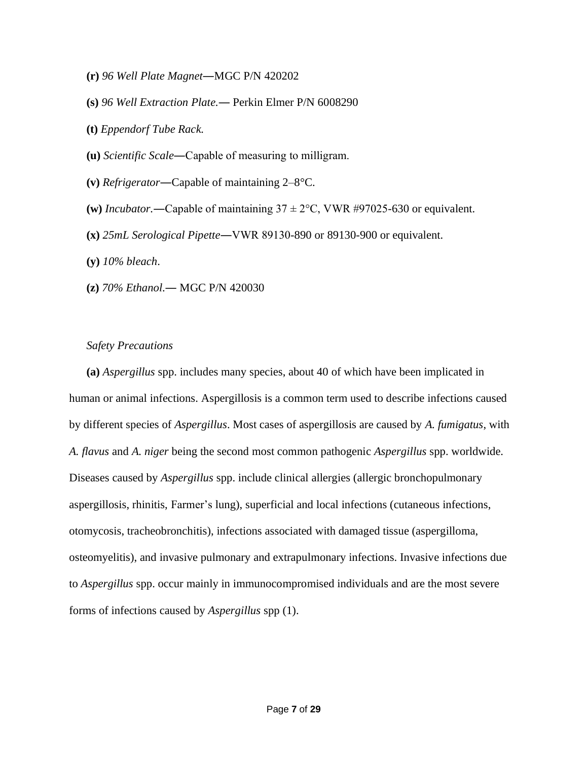- **(r)** *96 Well Plate Magnet*―MGC P/N 420202
- **(s)** *96 Well Extraction Plate.*― Perkin Elmer P/N 6008290
- **(t)** *Eppendorf Tube Rack.*
- **(u)** *Scientific Scale*―Capable of measuring to milligram.
- **(v)** *Refrigerator*―Capable of maintaining 2–8°C.
- (w) *Incubator.*—Capable of maintaining  $37 \pm 2$ °C, VWR #97025-630 or equivalent.
- **(x)** *25mL Serological Pipette*―VWR 89130-890 or 89130-900 or equivalent.
- **(y)** *10% bleach*.
- **(z)** *70% Ethanol*.― MGC P/N 420030

#### *Safety Precautions*

**(a)** *Aspergillus* spp. includes many species, about 40 of which have been implicated in human or animal infections. Aspergillosis is a common term used to describe infections caused by different species of *Aspergillus*. Most cases of aspergillosis are caused by *A. fumigatus*, with *A. flavus* and *A. niger* being the second most common pathogenic *Aspergillus* spp. worldwide. Diseases caused by *Aspergillus* spp. include clinical allergies (allergic bronchopulmonary aspergillosis, rhinitis, Farmer's lung), superficial and local infections (cutaneous infections, otomycosis, tracheobronchitis), infections associated with damaged tissue (aspergilloma, osteomyelitis), and invasive pulmonary and extrapulmonary infections. Invasive infections due to *Aspergillus* spp. occur mainly in immunocompromised individuals and are the most severe forms of infections caused by *Aspergillus* spp (1).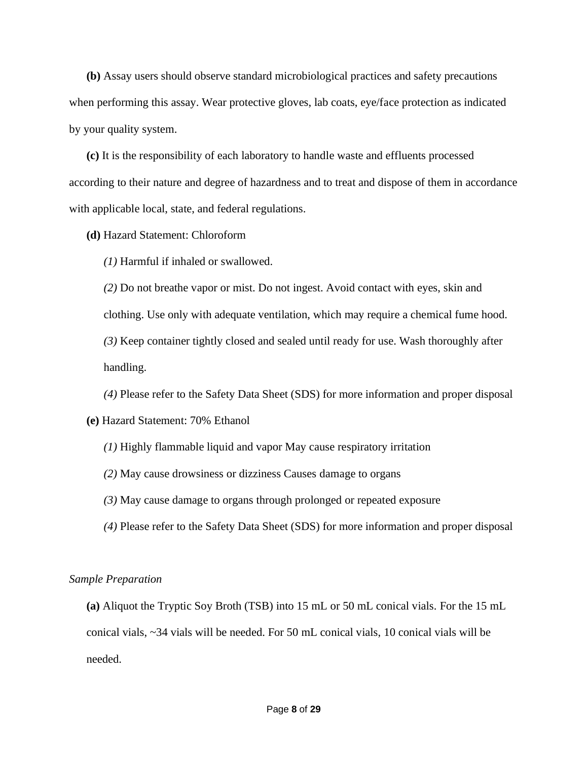**(b)** Assay users should observe standard microbiological practices and safety precautions when performing this assay. Wear protective gloves, lab coats, eye/face protection as indicated by your quality system.

**(c)** It is the responsibility of each laboratory to handle waste and effluents processed according to their nature and degree of hazardness and to treat and dispose of them in accordance with applicable local, state, and federal regulations.

**(d)** Hazard Statement: Chloroform

*(1)* Harmful if inhaled or swallowed.

*(2)* Do not breathe vapor or mist. Do not ingest. Avoid contact with eyes, skin and clothing. Use only with adequate ventilation, which may require a chemical fume hood. *(3)* Keep container tightly closed and sealed until ready for use. Wash thoroughly after handling.

*(4)* Please refer to the Safety Data Sheet (SDS) for more information and proper disposal

### **(e)** Hazard Statement: 70% Ethanol

- *(1)* Highly flammable liquid and vapor May cause respiratory irritation
- *(2)* May cause drowsiness or dizziness Causes damage to organs
- *(3)* May cause damage to organs through prolonged or repeated exposure
- *(4)* Please refer to the Safety Data Sheet (SDS) for more information and proper disposal

#### *Sample Preparation*

**(a)** Aliquot the Tryptic Soy Broth (TSB) into 15 mL or 50 mL conical vials. For the 15 mL conical vials, ~34 vials will be needed. For 50 mL conical vials, 10 conical vials will be needed.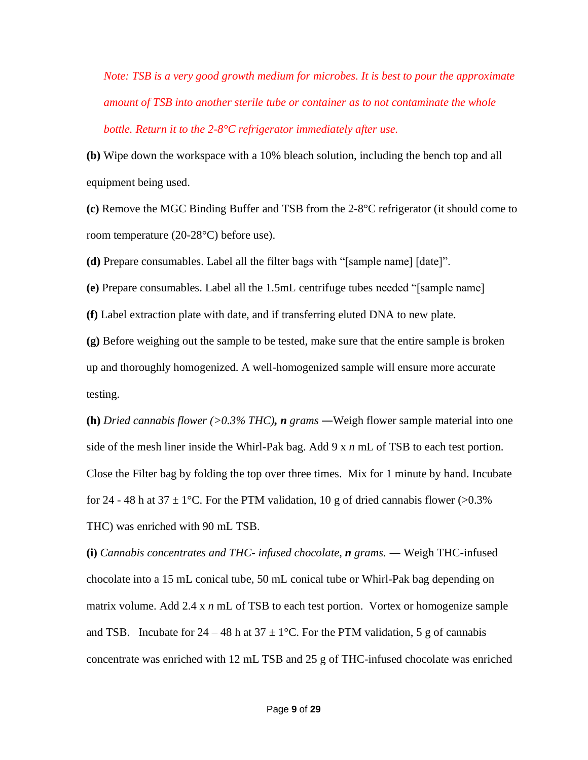*Note: TSB is a very good growth medium for microbes. It is best to pour the approximate amount of TSB into another sterile tube or container as to not contaminate the whole bottle. Return it to the 2-8°C refrigerator immediately after use.*

**(b)** Wipe down the workspace with a 10% bleach solution, including the bench top and all equipment being used.

**(c)** Remove the MGC Binding Buffer and TSB from the 2-8°C refrigerator (it should come to room temperature (20-28°C) before use).

**(d)** Prepare consumables. Label all the filter bags with "[sample name] [date]".

**(e)** Prepare consumables. Label all the 1.5mL centrifuge tubes needed "[sample name]

**(f)** Label extraction plate with date, and if transferring eluted DNA to new plate.

**(g)** Before weighing out the sample to be tested, make sure that the entire sample is broken up and thoroughly homogenized. A well-homogenized sample will ensure more accurate testing.

**(h)** *Dried cannabis flower (>0.3% THC), n grams* ―Weigh flower sample material into one side of the mesh liner inside the Whirl-Pak bag. Add 9 x *n* mL of TSB to each test portion. Close the Filter bag by folding the top over three times. Mix for 1 minute by hand. Incubate for 24 - 48 h at 37  $\pm$  1°C. For the PTM validation, 10 g of dried cannabis flower (>0.3%) THC) was enriched with 90 mL TSB.

**(i)** *Cannabis concentrates and THC- infused chocolate, n grams.* ― Weigh THC-infused chocolate into a 15 mL conical tube, 50 mL conical tube or Whirl-Pak bag depending on matrix volume. Add 2.4 x *n* mL of TSB to each test portion. Vortex or homogenize sample and TSB. Incubate for  $24 - 48$  h at  $37 \pm 1$ °C. For the PTM validation, 5 g of cannabis concentrate was enriched with 12 mL TSB and 25 g of THC-infused chocolate was enriched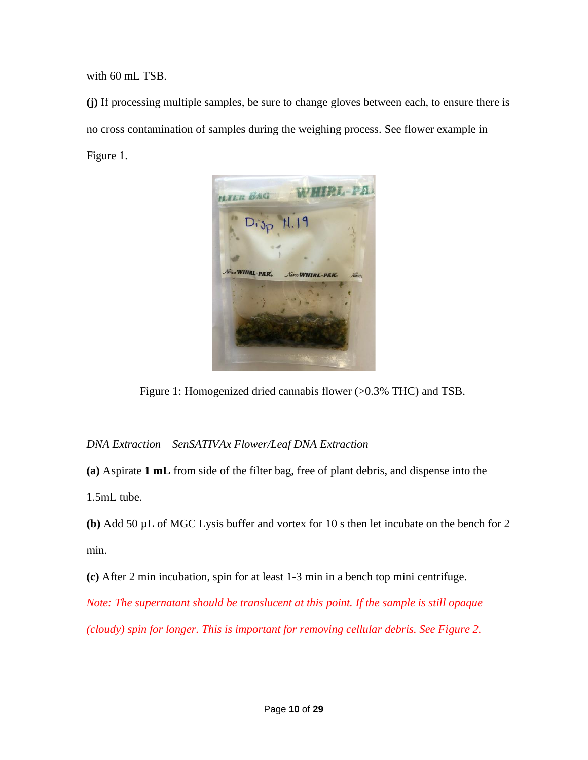with 60 mL TSB.

**(j)** If processing multiple samples, be sure to change gloves between each, to ensure there is no cross contamination of samples during the weighing process. See flower example in Figure 1.



Figure 1: Homogenized dried cannabis flower (>0.3% THC) and TSB.

## *DNA Extraction – SenSATIVAx Flower/Leaf DNA Extraction*

**(a)** Aspirate **1 mL** from side of the filter bag, free of plant debris, and dispense into the

1.5mL tube.

**(b)** Add 50 µL of MGC Lysis buffer and vortex for 10 s then let incubate on the bench for 2 min.

**(c)** After 2 min incubation, spin for at least 1-3 min in a bench top mini centrifuge.

*Note: The supernatant should be translucent at this point. If the sample is still opaque (cloudy) spin for longer. This is important for removing cellular debris. See Figure 2.*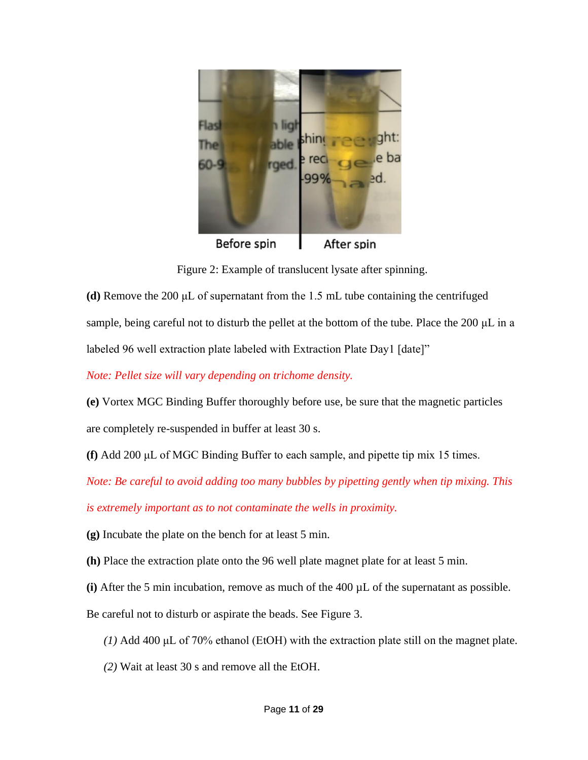

Before spin After spin

Figure 2: Example of translucent lysate after spinning.

**(d)** Remove the 200 μL of supernatant from the 1.5 mL tube containing the centrifuged sample, being careful not to disturb the pellet at the bottom of the tube. Place the 200 μL in a labeled 96 well extraction plate labeled with Extraction Plate Day1 [date]"

*Note: Pellet size will vary depending on trichome density.*

**(e)** Vortex MGC Binding Buffer thoroughly before use, be sure that the magnetic particles are completely re-suspended in buffer at least 30 s.

**(f)** Add 200 μL of MGC Binding Buffer to each sample, and pipette tip mix 15 times.

*Note: Be careful to avoid adding too many bubbles by pipetting gently when tip mixing. This* 

*is extremely important as to not contaminate the wells in proximity.* 

**(g)** Incubate the plate on the bench for at least 5 min.

**(h)** Place the extraction plate onto the 96 well plate magnet plate for at least 5 min.

**(i)** After the 5 min incubation, remove as much of the 400 µL of the supernatant as possible.

Be careful not to disturb or aspirate the beads. See Figure 3.

*(1)* Add 400 μL of 70% ethanol (EtOH) with the extraction plate still on the magnet plate.

*(2)* Wait at least 30 s and remove all the EtOH.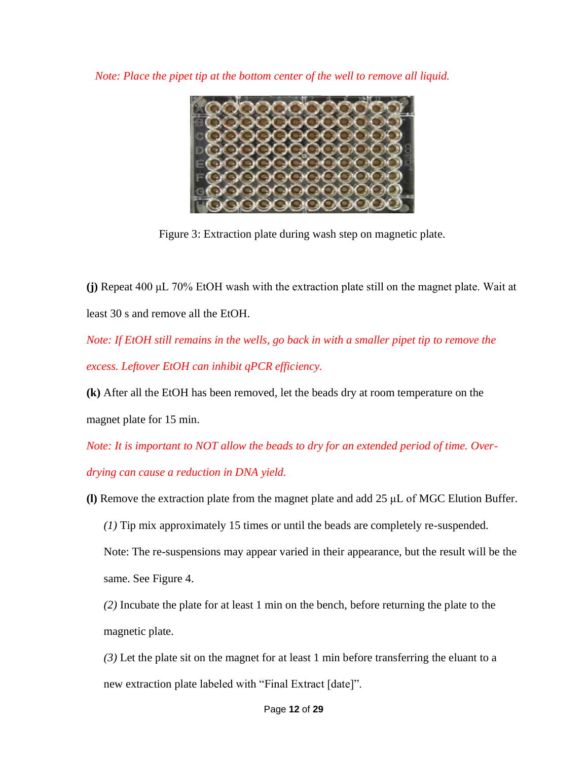*Note: Place the pipet tip at the bottom center of the well to remove all liquid.* 



Figure 3: Extraction plate during wash step on magnetic plate.

**(j)** Repeat 400 μL 70% EtOH wash with the extraction plate still on the magnet plate. Wait at least 30 s and remove all the EtOH.

*Note: If EtOH still remains in the wells, go back in with a smaller pipet tip to remove the excess. Leftover EtOH can inhibit qPCR efficiency.* 

**(k)** After all the EtOH has been removed, let the beads dry at room temperature on the magnet plate for 15 min.

*Note: It is important to NOT allow the beads to dry for an extended period of time. Over-*

*drying can cause a reduction in DNA yield.* 

**(l)** Remove the extraction plate from the magnet plate and add 25 μL of MGC Elution Buffer.

*(1)* Tip mix approximately 15 times or until the beads are completely re-suspended.

Note: The re-suspensions may appear varied in their appearance, but the result will be the same. See Figure 4.

*(2)* Incubate the plate for at least 1 min on the bench, before returning the plate to the magnetic plate.

*(3)* Let the plate sit on the magnet for at least 1 min before transferring the eluant to a new extraction plate labeled with "Final Extract [date]".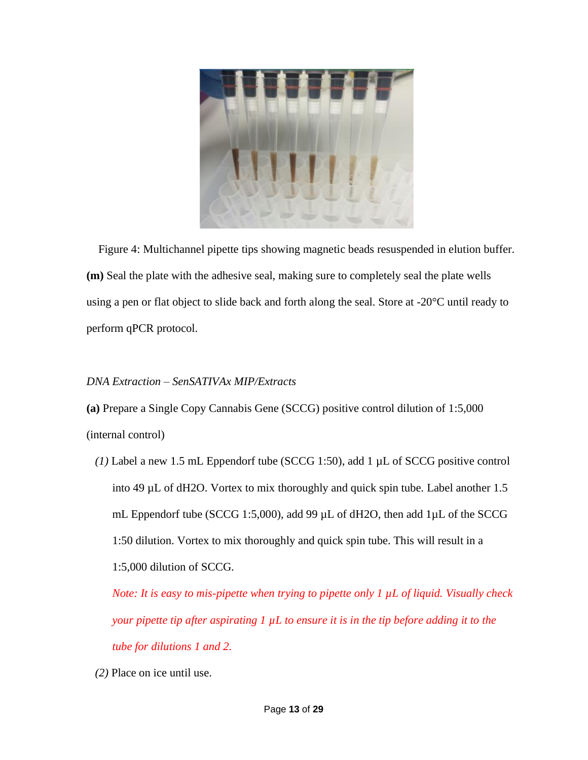

Figure 4: Multichannel pipette tips showing magnetic beads resuspended in elution buffer. **(m)** Seal the plate with the adhesive seal, making sure to completely seal the plate wells using a pen or flat object to slide back and forth along the seal. Store at -20<sup>o</sup>C until ready to perform qPCR protocol.

## *DNA Extraction – SenSATIVAx MIP/Extracts*

**(a)** Prepare a Single Copy Cannabis Gene (SCCG) positive control dilution of 1:5,000

(internal control)

*(1)* Label a new 1.5 mL Eppendorf tube (SCCG 1:50), add 1 µL of SCCG positive control into 49 µL of dH2O. Vortex to mix thoroughly and quick spin tube. Label another 1.5 mL Eppendorf tube (SCCG 1:5,000), add 99  $\mu$ L of dH2O, then add 1 $\mu$ L of the SCCG 1:50 dilution. Vortex to mix thoroughly and quick spin tube. This will result in a 1:5,000 dilution of SCCG.

*Note: It is easy to mis-pipette when trying to pipette only 1 µL of liquid. Visually check your pipette tip after aspirating 1 µL to ensure it is in the tip before adding it to the tube for dilutions 1 and 2.* 

*(2)* Place on ice until use.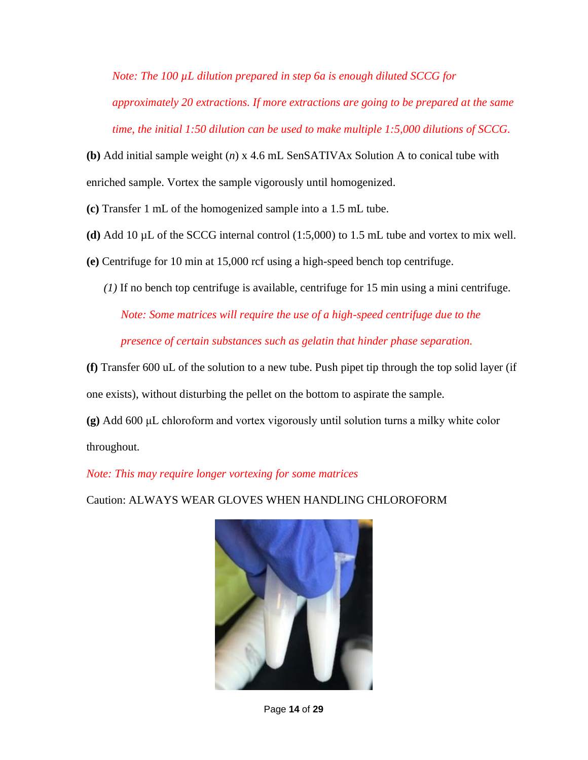*Note: The 100 µL dilution prepared in step 6a is enough diluted SCCG for approximately 20 extractions. If more extractions are going to be prepared at the same time, the initial 1:50 dilution can be used to make multiple 1:5,000 dilutions of SCCG.*

**(b)** Add initial sample weight (*n*) x 4.6 mL SenSATIVAx Solution A to conical tube with enriched sample. Vortex the sample vigorously until homogenized.

**(c)** Transfer 1 mL of the homogenized sample into a 1.5 mL tube.

- **(d)** Add 10 µL of the SCCG internal control (1:5,000) to 1.5 mL tube and vortex to mix well.
- **(e)** Centrifuge for 10 min at 15,000 rcf using a high-speed bench top centrifuge.
	- *(1)* If no bench top centrifuge is available, centrifuge for 15 min using a mini centrifuge.

*Note: Some matrices will require the use of a high-speed centrifuge due to the presence of certain substances such as gelatin that hinder phase separation.*

**(f)** Transfer 600 uL of the solution to a new tube. Push pipet tip through the top solid layer (if one exists), without disturbing the pellet on the bottom to aspirate the sample.

**(g)** Add 600 μL chloroform and vortex vigorously until solution turns a milky white color throughout.

## *Note: This may require longer vortexing for some matrices*

Caution: ALWAYS WEAR GLOVES WHEN HANDLING CHLOROFORM



Page **14** of **29**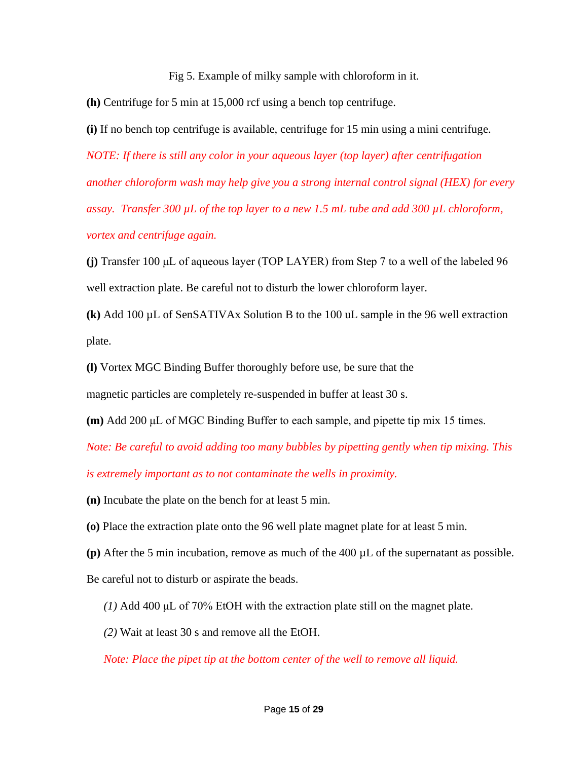Fig 5. Example of milky sample with chloroform in it.

**(h)** Centrifuge for 5 min at 15,000 rcf using a bench top centrifuge.

**(i)** If no bench top centrifuge is available, centrifuge for 15 min using a mini centrifuge. *NOTE: If there is still any color in your aqueous layer (top layer) after centrifugation another chloroform wash may help give you a strong internal control signal (HEX) for every assay. Transfer 300 µL of the top layer to a new 1.5 mL tube and add 300 µL chloroform, vortex and centrifuge again.*

**(j)** Transfer 100 μL of aqueous layer (TOP LAYER) from Step 7 to a well of the labeled 96 well extraction plate. Be careful not to disturb the lower chloroform layer.

**(k)** Add 100 µL of SenSATIVAx Solution B to the 100 uL sample in the 96 well extraction plate.

**(l)** Vortex MGC Binding Buffer thoroughly before use, be sure that the

magnetic particles are completely re-suspended in buffer at least 30 s.

**(m)** Add 200 μL of MGC Binding Buffer to each sample, and pipette tip mix 15 times.

*Note: Be careful to avoid adding too many bubbles by pipetting gently when tip mixing. This is extremely important as to not contaminate the wells in proximity.* 

**(n)** Incubate the plate on the bench for at least 5 min.

**(o)** Place the extraction plate onto the 96 well plate magnet plate for at least 5 min.

**(p)** After the 5 min incubation, remove as much of the 400 µL of the supernatant as possible. Be careful not to disturb or aspirate the beads.

*(1)* Add 400 μL of 70% EtOH with the extraction plate still on the magnet plate.

*(2)* Wait at least 30 s and remove all the EtOH.

*Note: Place the pipet tip at the bottom center of the well to remove all liquid.*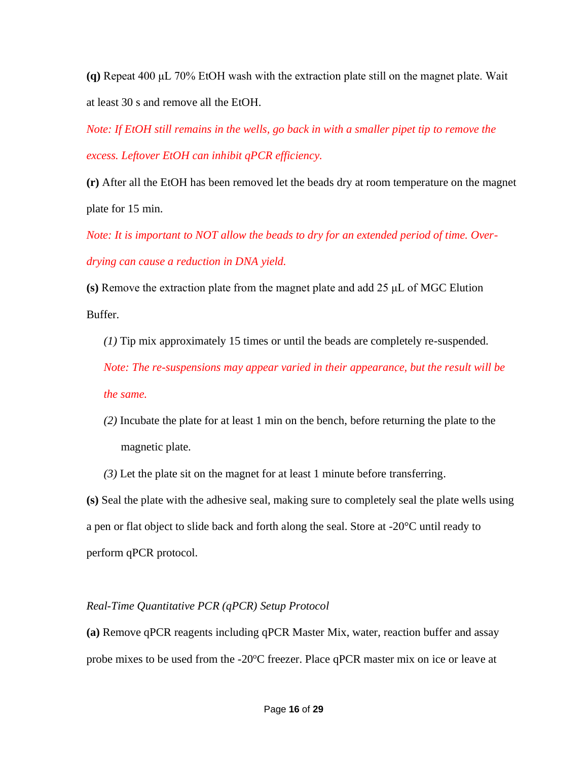**(q)** Repeat 400 μL 70% EtOH wash with the extraction plate still on the magnet plate. Wait at least 30 s and remove all the EtOH.

*Note: If EtOH still remains in the wells, go back in with a smaller pipet tip to remove the excess. Leftover EtOH can inhibit qPCR efficiency.* 

**(r)** After all the EtOH has been removed let the beads dry at room temperature on the magnet plate for 15 min.

*Note: It is important to NOT allow the beads to dry for an extended period of time. Overdrying can cause a reduction in DNA yield.*

**(s)** Remove the extraction plate from the magnet plate and add 25 μL of MGC Elution Buffer.

*(1)* Tip mix approximately 15 times or until the beads are completely re-suspended. *Note: The re-suspensions may appear varied in their appearance, but the result will be the same.* 

*(2)* Incubate the plate for at least 1 min on the bench, before returning the plate to the magnetic plate.

*(3)* Let the plate sit on the magnet for at least 1 minute before transferring.

**(s)** Seal the plate with the adhesive seal, making sure to completely seal the plate wells using a pen or flat object to slide back and forth along the seal. Store at -20°C until ready to perform qPCR protocol.

## *Real-Time Quantitative PCR (qPCR) Setup Protocol*

**(a)** Remove qPCR reagents including qPCR Master Mix, water, reaction buffer and assay probe mixes to be used from the -20°C freezer. Place qPCR master mix on ice or leave at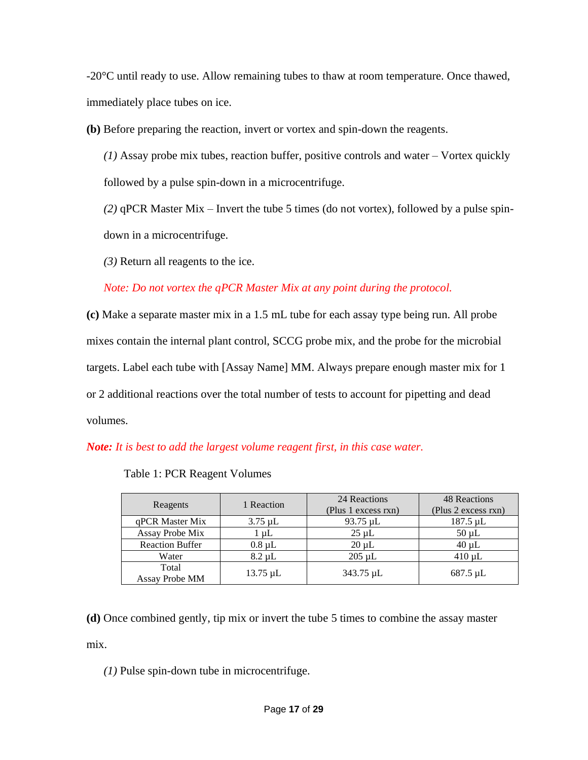-20°C until ready to use. Allow remaining tubes to thaw at room temperature. Once thawed, immediately place tubes on ice.

**(b)** Before preparing the reaction, invert or vortex and spin-down the reagents.

*(1)* Assay probe mix tubes, reaction buffer, positive controls and water – Vortex quickly followed by a pulse spin-down in a microcentrifuge.

*(2)* qPCR Master Mix – Invert the tube 5 times (do not vortex), followed by a pulse spindown in a microcentrifuge.

*(3)* Return all reagents to the ice.

*Note: Do not vortex the qPCR Master Mix at any point during the protocol.*

**(c)** Make a separate master mix in a 1.5 mL tube for each assay type being run. All probe mixes contain the internal plant control, SCCG probe mix, and the probe for the microbial targets. Label each tube with [Assay Name] MM. Always prepare enough master mix for 1 or 2 additional reactions over the total number of tests to account for pipetting and dead volumes.

*Note: It is best to add the largest volume reagent first, in this case water.*

| Reagents                | 1 Reaction    | 24 Reactions<br>(Plus 1 excess rxn) | <b>48 Reactions</b><br>(Plus 2 excess rxn) |
|-------------------------|---------------|-------------------------------------|--------------------------------------------|
| qPCR Master Mix         | $3.75 \mu L$  | 93.75 µL                            | $187.5 \mu L$                              |
| Assay Probe Mix         | $1 \mu L$     | $25 \mu L$                          | $50 \mu L$                                 |
| <b>Reaction Buffer</b>  | $0.8 \mu L$   | $20 \mu L$                          | $40 \mu L$                                 |
| Water                   | $8.2 \mu L$   | $205 \mu L$                         | $410 \mu L$                                |
| Total<br>Assay Probe MM | $13.75 \mu L$ | 343.75 µL                           | $687.5 \mu L$                              |

Table 1: PCR Reagent Volumes

**(d)** Once combined gently, tip mix or invert the tube 5 times to combine the assay master mix.

*(1)* Pulse spin-down tube in microcentrifuge.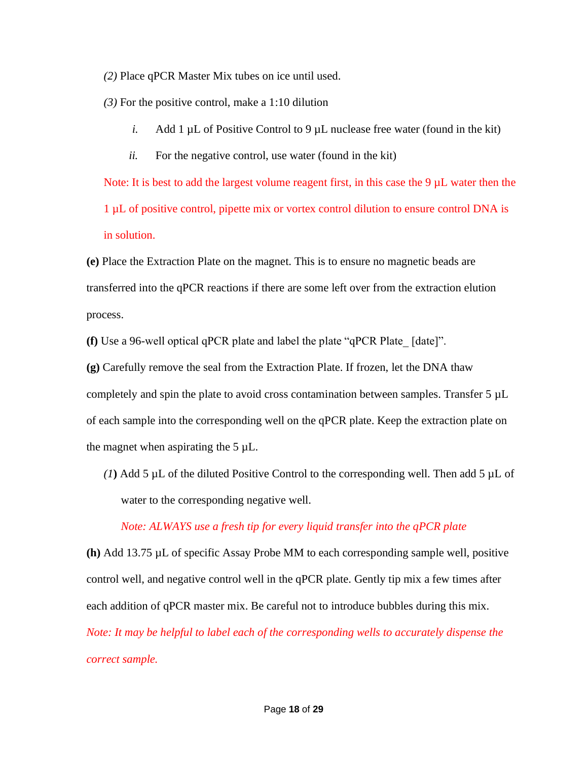*(2)* Place qPCR Master Mix tubes on ice until used.

*(3)* For the positive control, make a 1:10 dilution

- *i.* Add 1  $\mu$ L of Positive Control to 9  $\mu$ L nuclease free water (found in the kit)
- *ii.* For the negative control, use water (found in the kit)

Note: It is best to add the largest volume reagent first, in this case the  $9 \mu L$  water then the 1 µL of positive control, pipette mix or vortex control dilution to ensure control DNA is in solution.

**(e)** Place the Extraction Plate on the magnet. This is to ensure no magnetic beads are transferred into the qPCR reactions if there are some left over from the extraction elution process.

**(f)** Use a 96-well optical qPCR plate and label the plate "qPCR Plate\_ [date]".

**(g)** Carefully remove the seal from the Extraction Plate. If frozen, let the DNA thaw completely and spin the plate to avoid cross contamination between samples. Transfer 5 µL of each sample into the corresponding well on the qPCR plate. Keep the extraction plate on the magnet when aspirating the  $5 \mu L$ .

(1) Add 5  $\mu$ L of the diluted Positive Control to the corresponding well. Then add 5  $\mu$ L of water to the corresponding negative well.

## *Note: ALWAYS use a fresh tip for every liquid transfer into the qPCR plate*

**(h)** Add 13.75 µL of specific Assay Probe MM to each corresponding sample well, positive control well, and negative control well in the qPCR plate. Gently tip mix a few times after each addition of qPCR master mix. Be careful not to introduce bubbles during this mix. *Note: It may be helpful to label each of the corresponding wells to accurately dispense the correct sample.*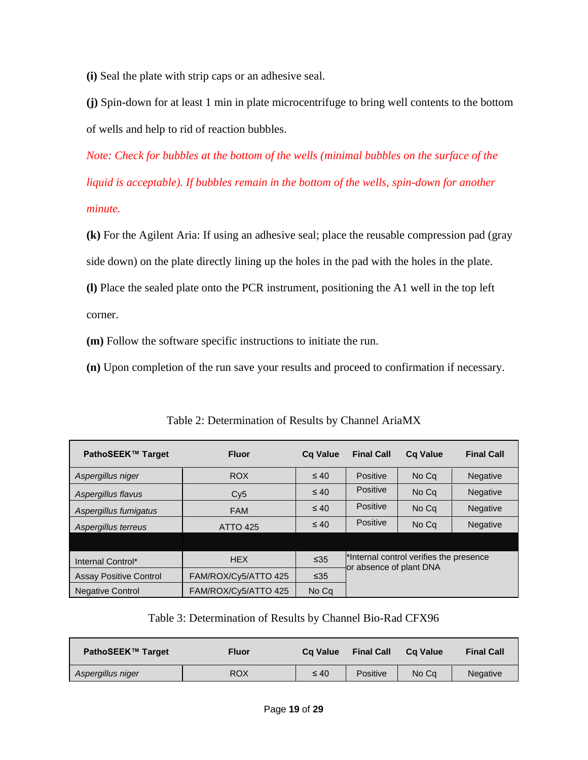**(i)** Seal the plate with strip caps or an adhesive seal.

**(j)** Spin-down for at least 1 min in plate microcentrifuge to bring well contents to the bottom of wells and help to rid of reaction bubbles.

*Note: Check for bubbles at the bottom of the wells (minimal bubbles on the surface of the liquid is acceptable). If bubbles remain in the bottom of the wells, spin-down for another minute.*

**(k)** For the Agilent Aria: If using an adhesive seal; place the reusable compression pad (gray side down) on the plate directly lining up the holes in the pad with the holes in the plate.

**(l)** Place the sealed plate onto the PCR instrument, positioning the A1 well in the top left corner.

**(m)** Follow the software specific instructions to initiate the run.

**(n)** Upon completion of the run save your results and proceed to confirmation if necessary.

| PathoSEEK™ Target             | <b>Fluor</b>         | <b>Ca Value</b> | <b>Final Call</b>       | <b>Ca Value</b>                                     | <b>Final Call</b> |
|-------------------------------|----------------------|-----------------|-------------------------|-----------------------------------------------------|-------------------|
| Aspergillus niger             | <b>ROX</b>           | $\leq 40$       | Positive                | No Cq                                               | <b>Negative</b>   |
| Aspergillus flavus            | Cy5                  | $\leq 40$       | Positive                | No Cq                                               | Negative          |
| Aspergillus fumigatus         | <b>FAM</b>           | $\leq 40$       | Positive                | No Cq                                               | <b>Negative</b>   |
| Aspergillus terreus           | <b>ATTO 425</b>      | $\leq 40$       | Positive                | No Cq                                               | <b>Negative</b>   |
|                               |                      |                 |                         |                                                     |                   |
| Internal Control*             | <b>HEX</b>           | $\leq 35$       | or absence of plant DNA | <sup>*</sup> Internal control verifies the presence |                   |
| <b>Assay Positive Control</b> | FAM/ROX/Cy5/ATTO 425 | $\leq 35$       |                         |                                                     |                   |
| <b>Negative Control</b>       | FAM/ROX/Cy5/ATTO 425 | No Cq           |                         |                                                     |                   |

Table 2: Determination of Results by Channel AriaMX

Table 3: Determination of Results by Channel Bio-Rad CFX96

| PathoSEEK™ Target | Fluor      |           | <b>Final Call</b> | Ca Value | <b>Final Call</b> |
|-------------------|------------|-----------|-------------------|----------|-------------------|
| Aspergillus niger | <b>ROX</b> | $\leq 40$ | Positive          | No Ca    | <b>Negative</b>   |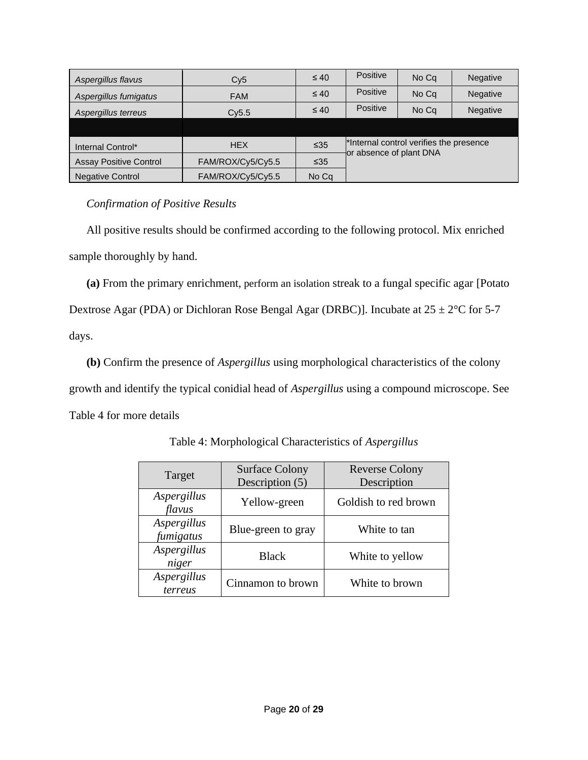| Aspergillus flavus            | Cy5               | $\leq 40$ | Positive                | No Cq                                   | <b>Negative</b> |
|-------------------------------|-------------------|-----------|-------------------------|-----------------------------------------|-----------------|
| Aspergillus fumigatus         | <b>FAM</b>        | $\leq 40$ | Positive                | No Cq                                   | <b>Negative</b> |
| Aspergillus terreus           | Cv5.5             | $\leq 40$ | Positive                | No Cq                                   | <b>Negative</b> |
|                               |                   |           |                         |                                         |                 |
| Internal Control*             | <b>HEX</b>        | $\leq 35$ |                         | *Internal control verifies the presence |                 |
| <b>Assay Positive Control</b> | FAM/ROX/Cy5/Cy5.5 | $\leq 35$ | or absence of plant DNA |                                         |                 |
| <b>Negative Control</b>       | FAM/ROX/Cy5/Cy5.5 | No Cq     |                         |                                         |                 |

 *Confirmation of Positive Results* 

All positive results should be confirmed according to the following protocol. Mix enriched sample thoroughly by hand.

**(a)** From the primary enrichment, perform an isolation streak to a fungal specific agar [Potato Dextrose Agar (PDA) or Dichloran Rose Bengal Agar (DRBC)]. Incubate at  $25 \pm 2^{\circ}$ C for 5-7 days.

**(b)** Confirm the presence of *Aspergillus* using morphological characteristics of the colony growth and identify the typical conidial head of *Aspergillus* using a compound microscope. See Table 4 for more details

| Target                   | <b>Surface Colony</b><br>Description (5) | <b>Reverse Colony</b><br>Description |
|--------------------------|------------------------------------------|--------------------------------------|
| Aspergillus<br>flavus    | Yellow-green                             | Goldish to red brown                 |
| Aspergillus<br>fumigatus | Blue-green to gray                       | White to tan                         |
| Aspergillus<br>niger     | <b>Black</b>                             | White to yellow                      |
| Aspergillus<br>terreus   | Cinnamon to brown                        | White to brown                       |

Table 4: Morphological Characteristics of *Aspergillus*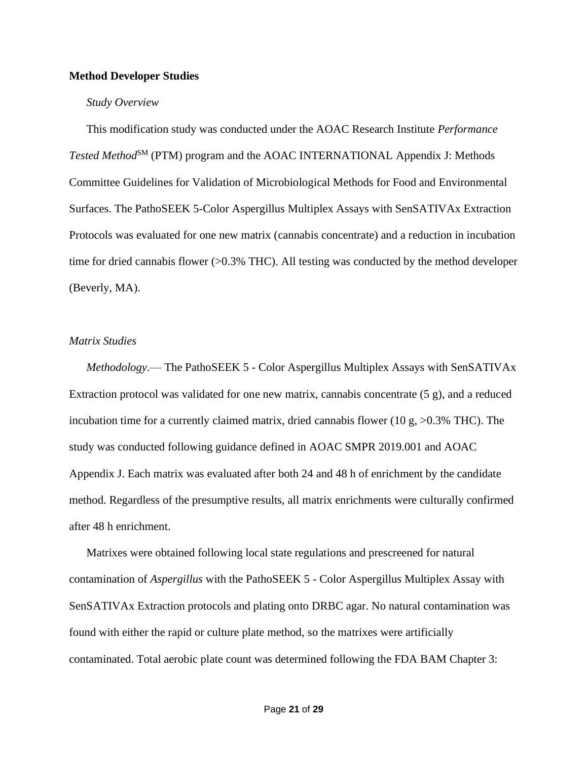#### **Method Developer Studies**

#### *Study Overview*

This modification study was conducted under the AOAC Research Institute *Performance Tested Method*<sup>SM</sup> (PTM) program and the AOAC INTERNATIONAL Appendix J: Methods Committee Guidelines for Validation of Microbiological Methods for Food and Environmental Surfaces. The PathoSEEK 5-Color Aspergillus Multiplex Assays with SenSATIVAx Extraction Protocols was evaluated for one new matrix (cannabis concentrate) and a reduction in incubation time for dried cannabis flower (>0.3% THC). All testing was conducted by the method developer (Beverly, MA).

#### *Matrix Studies*

*Methodology*.— The PathoSEEK 5 - Color Aspergillus Multiplex Assays with SenSATIVAx Extraction protocol was validated for one new matrix, cannabis concentrate (5 g), and a reduced incubation time for a currently claimed matrix, dried cannabis flower (10 g,  $>0.3\%$  THC). The study was conducted following guidance defined in AOAC SMPR 2019.001 and AOAC Appendix J. Each matrix was evaluated after both 24 and 48 h of enrichment by the candidate method. Regardless of the presumptive results, all matrix enrichments were culturally confirmed after 48 h enrichment.

Matrixes were obtained following local state regulations and prescreened for natural contamination of *Aspergillus* with the PathoSEEK 5 - Color Aspergillus Multiplex Assay with SenSATIVAx Extraction protocols and plating onto DRBC agar. No natural contamination was found with either the rapid or culture plate method, so the matrixes were artificially contaminated. Total aerobic plate count was determined following the FDA BAM Chapter 3: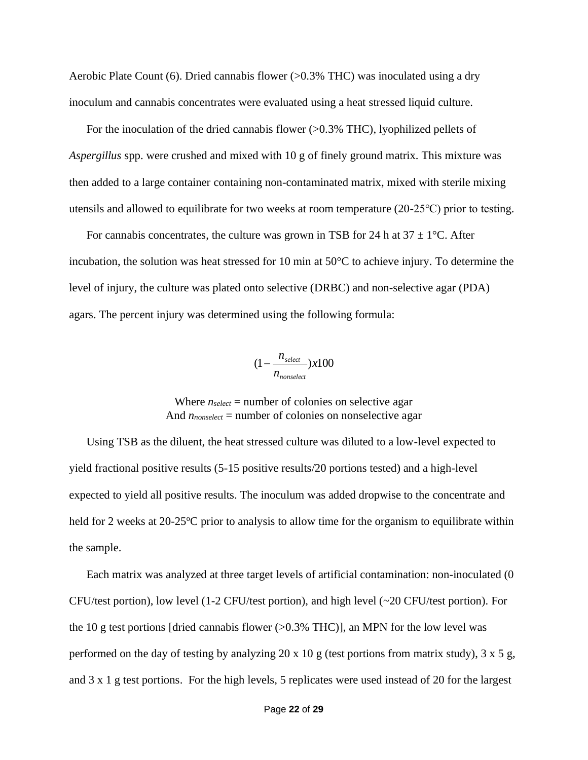Aerobic Plate Count (6). Dried cannabis flower (>0.3% THC) was inoculated using a dry inoculum and cannabis concentrates were evaluated using a heat stressed liquid culture.

For the inoculation of the dried cannabis flower (>0.3% THC), lyophilized pellets of *Aspergillus* spp. were crushed and mixed with 10 g of finely ground matrix. This mixture was then added to a large container containing non-contaminated matrix, mixed with sterile mixing utensils and allowed to equilibrate for two weeks at room temperature (20-25℃) prior to testing.

For cannabis concentrates, the culture was grown in TSB for 24 h at  $37 \pm 1^{\circ}$ C. After incubation, the solution was heat stressed for 10 min at 50°C to achieve injury. To determine the level of injury, the culture was plated onto selective (DRBC) and non-selective agar (PDA) agars. The percent injury was determined using the following formula:

$$
(1 - \frac{n_{select}}{n_{nonselect}}) \times 100
$$

Where  $n_{select}$  = number of colonies on selective agar And *nnonselect* = number of colonies on nonselective agar

Using TSB as the diluent, the heat stressed culture was diluted to a low-level expected to yield fractional positive results (5-15 positive results/20 portions tested) and a high-level expected to yield all positive results. The inoculum was added dropwise to the concentrate and held for 2 weeks at  $20-25^{\circ}$ C prior to analysis to allow time for the organism to equilibrate within the sample.

Each matrix was analyzed at three target levels of artificial contamination: non-inoculated (0 CFU/test portion), low level (1-2 CFU/test portion), and high level (~20 CFU/test portion). For the 10 g test portions [dried cannabis flower  $(>0.3\% \text{ THC})$ ], an MPN for the low level was performed on the day of testing by analyzing 20 x 10 g (test portions from matrix study),  $3 \times 5$  g, and 3 x 1 g test portions. For the high levels, 5 replicates were used instead of 20 for the largest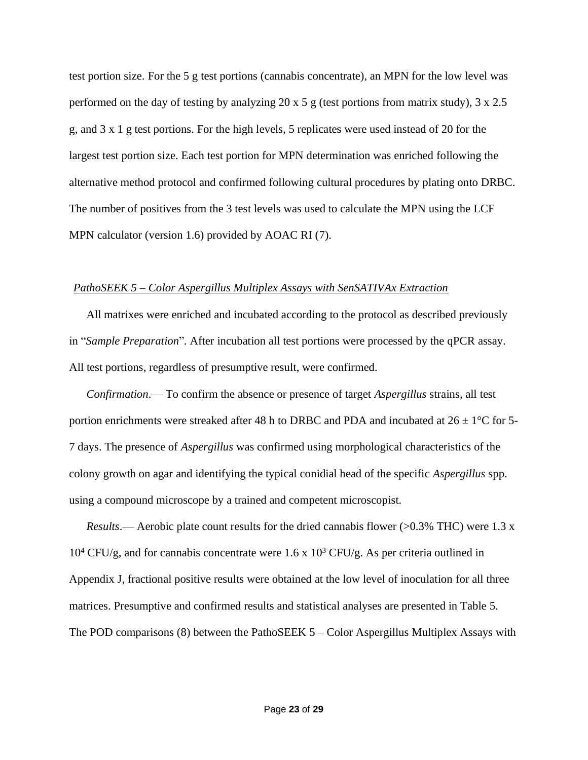test portion size. For the 5 g test portions (cannabis concentrate), an MPN for the low level was performed on the day of testing by analyzing 20 x 5 g (test portions from matrix study),  $3 \times 2.5$ g, and 3 x 1 g test portions. For the high levels, 5 replicates were used instead of 20 for the largest test portion size. Each test portion for MPN determination was enriched following the alternative method protocol and confirmed following cultural procedures by plating onto DRBC. The number of positives from the 3 test levels was used to calculate the MPN using the LCF MPN calculator (version 1.6) provided by AOAC RI (7).

#### *PathoSEEK 5 – Color Aspergillus Multiplex Assays with SenSATIVAx Extraction*

All matrixes were enriched and incubated according to the protocol as described previously in "*Sample Preparation*"*.* After incubation all test portions were processed by the qPCR assay. All test portions, regardless of presumptive result, were confirmed.

*Confirmation*.— To confirm the absence or presence of target *Aspergillus* strains, all test portion enrichments were streaked after 48 h to DRBC and PDA and incubated at  $26 \pm 1^{\circ}$ C for 5-7 days. The presence of *Aspergillus* was confirmed using morphological characteristics of the colony growth on agar and identifying the typical conidial head of the specific *Aspergillus* spp. using a compound microscope by a trained and competent microscopist.

*Results*.— Aerobic plate count results for the dried cannabis flower (>0.3% THC) were 1.3 x  $10^4$  CFU/g, and for cannabis concentrate were 1.6 x  $10^3$  CFU/g. As per criteria outlined in Appendix J, fractional positive results were obtained at the low level of inoculation for all three matrices. Presumptive and confirmed results and statistical analyses are presented in Table 5. The POD comparisons (8) between the PathoSEEK 5 – Color Aspergillus Multiplex Assays with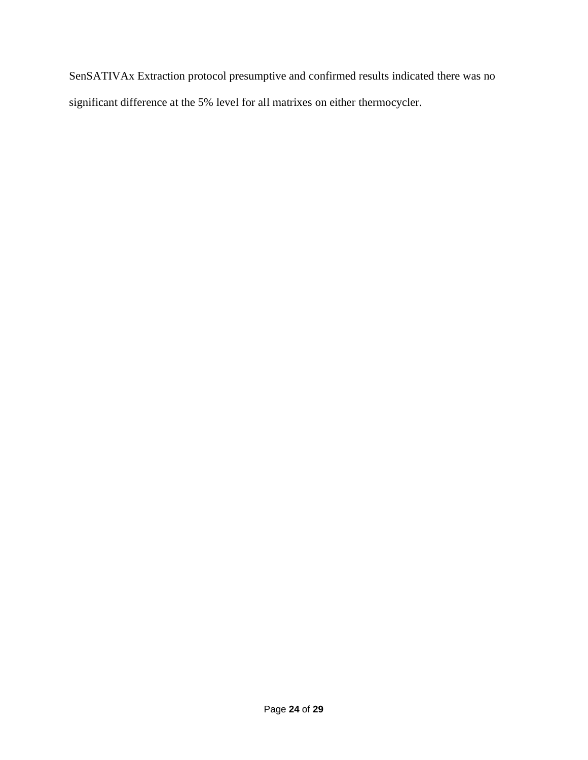SenSATIVAx Extraction protocol presumptive and confirmed results indicated there was no significant difference at the 5% level for all matrixes on either thermocycler.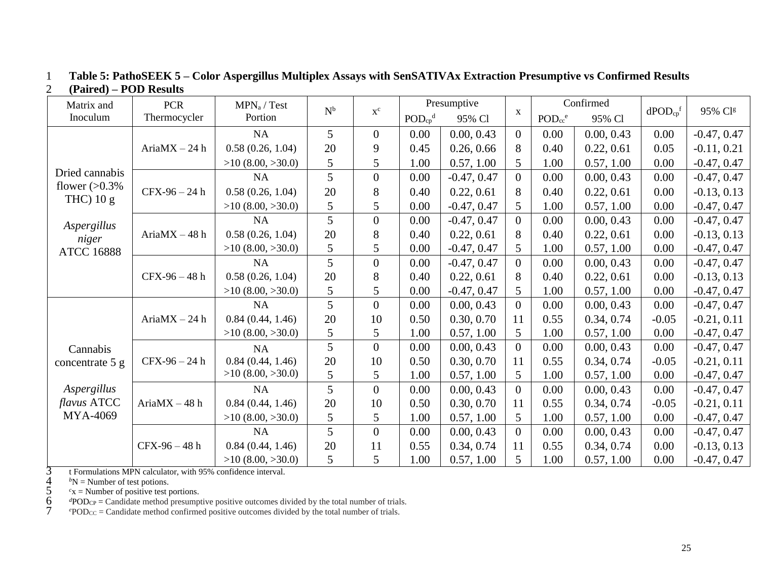| Matrix and         | <b>PCR</b>       | MPN <sub>a</sub> / Test | $N^b$<br>$\mathbf{x}^\mathrm{c}$ |                |                                     | Presumptive   |                | Confirmed                           |            |                          | 95% Clg       |
|--------------------|------------------|-------------------------|----------------------------------|----------------|-------------------------------------|---------------|----------------|-------------------------------------|------------|--------------------------|---------------|
| Inoculum           | Thermocycler     | Portion                 |                                  |                | $\text{POD}_{\text{cp}}^{\text{d}}$ | 95% Cl        | $\mathbf{X}$   | $\text{POD}_{\text{cc}}^{\text{e}}$ | 95% Cl     | $dPOD_{cp}$ <sup>f</sup> |               |
|                    |                  | <b>NA</b>               | 5                                | $\overline{0}$ | 0.00                                | 0.00, 0.43    | $\overline{0}$ | 0.00                                | 0.00, 0.43 | 0.00                     | $-0.47, 0.47$ |
|                    | $AriaMX - 24h$   | 0.58(0.26, 1.04)        | 20                               | 9              | 0.45                                | 0.26, 0.66    | 8              | 0.40                                | 0.22, 0.61 | 0.05                     | $-0.11, 0.21$ |
|                    |                  | $>10$ (8.00, $>30.0$ )  | 5                                | 5              | 1.00                                | 0.57, 1.00    | 5              | 1.00                                | 0.57, 1.00 | 0.00                     | $-0.47, 0.47$ |
| Dried cannabis     |                  | NA                      | 5                                | $\overline{0}$ | 0.00                                | $-0.47, 0.47$ | $\overline{0}$ | 0.00                                | 0.00, 0.43 | 0.00                     | $-0.47, 0.47$ |
| flower $(>0.3\%$   | $CFX-96-24 h$    | 0.58(0.26, 1.04)        | 20                               | 8              | 0.40                                | 0.22, 0.61    | 8              | 0.40                                | 0.22, 0.61 | 0.00                     | $-0.13, 0.13$ |
| THC $)$ 10 g       |                  | $>10$ (8.00, $>30.0$ )  | 5                                | 5              | 0.00                                | $-0.47, 0.47$ | 5              | 1.00                                | 0.57, 1.00 | 0.00                     | $-0.47, 0.47$ |
| Aspergillus        |                  | <b>NA</b>               | 5                                | $\overline{0}$ | 0.00                                | $-0.47, 0.47$ | $\overline{0}$ | 0.00                                | 0.00, 0.43 | 0.00                     | $-0.47, 0.47$ |
| niger              | Aria $MX - 48$ h | 0.58(0.26, 1.04)        | 20                               | 8              | 0.40                                | 0.22, 0.61    | 8              | 0.40                                | 0.22, 0.61 | 0.00                     | $-0.13, 0.13$ |
| <b>ATCC 16888</b>  |                  | $>10$ (8.00, $>30.0$ )  | 5                                | 5              | 0.00                                | $-0.47, 0.47$ | 5              | 1.00                                | 0.57, 1.00 | 0.00                     | $-0.47, 0.47$ |
|                    |                  | <b>NA</b>               | 5                                | $\overline{0}$ | 0.00                                | $-0.47, 0.47$ | $\overline{0}$ | 0.00                                | 0.00, 0.43 | 0.00                     | $-0.47, 0.47$ |
|                    | $CFX-96-48h$     | 0.58(0.26, 1.04)        | 20                               | 8              | 0.40                                | 0.22, 0.61    | 8              | 0.40                                | 0.22, 0.61 | 0.00                     | $-0.13, 0.13$ |
|                    |                  | $>10$ (8.00, $>30.0$ )  | 5                                | 5              | 0.00                                | $-0.47, 0.47$ | 5              | 1.00                                | 0.57, 1.00 | 0.00                     | $-0.47, 0.47$ |
|                    |                  | <b>NA</b>               | 5                                | $\overline{0}$ | 0.00                                | 0.00, 0.43    | $\overline{0}$ | 0.00                                | 0.00, 0.43 | 0.00                     | $-0.47, 0.47$ |
|                    | Aria $MX - 24$ h | 0.84(0.44, 1.46)        | 20                               | 10             | 0.50                                | 0.30, 0.70    | 11             | 0.55                                | 0.34, 0.74 | $-0.05$                  | $-0.21, 0.11$ |
|                    |                  | $>10$ (8.00, $>30.0$ )  | 5                                | 5              | 1.00                                | 0.57, 1.00    | 5              | 1.00                                | 0.57, 1.00 | 0.00                     | $-0.47, 0.47$ |
| Cannabis           |                  | <b>NA</b>               | 5                                | $\overline{0}$ | 0.00                                | 0.00, 0.43    | $\overline{0}$ | 0.00                                | 0.00, 0.43 | 0.00                     | $-0.47, 0.47$ |
| concentrate 5 g    | $CFX-96-24 h$    | 0.84(0.44, 1.46)        | 20                               | 10             | 0.50                                | 0.30, 0.70    | 11             | 0.55                                | 0.34, 0.74 | $-0.05$                  | $-0.21, 0.11$ |
|                    |                  | $>10$ (8.00, $>30.0$ )  | 5                                | 5              | 1.00                                | 0.57, 1.00    | 5              | 1.00                                | 0.57, 1.00 | 0.00                     | $-0.47, 0.47$ |
| Aspergillus        |                  | <b>NA</b>               | 5                                | $\overline{0}$ | 0.00                                | 0.00, 0.43    | $\overline{0}$ | 0.00                                | 0.00, 0.43 | 0.00                     | $-0.47, 0.47$ |
| <i>flavus</i> ATCC | Aria $MX - 48$ h | 0.84(0.44, 1.46)        | 20                               | 10             | 0.50                                | 0.30, 0.70    | 11             | 0.55                                | 0.34, 0.74 | $-0.05$                  | $-0.21, 0.11$ |
| MYA-4069           |                  | $>10$ (8.00, $>30.0$ )  | 5                                | 5              | 1.00                                | 0.57, 1.00    | 5              | 1.00                                | 0.57, 1.00 | 0.00                     | $-0.47, 0.47$ |
|                    |                  | <b>NA</b>               | 5                                | $\overline{0}$ | 0.00                                | 0.00, 0.43    | $\overline{0}$ | 0.00                                | 0.00, 0.43 | 0.00                     | $-0.47, 0.47$ |
|                    | $CFX-96-48 h$    | 0.84(0.44, 1.46)        | 20                               | 11             | 0.55                                | 0.34, 0.74    | 11             | 0.55                                | 0.34, 0.74 | 0.00                     | $-0.13, 0.13$ |
|                    |                  | $>10$ (8.00, $>30.0$ )  | 5                                | 5              | 1.00                                | 0.57, 1.00    | 5              | 1.00                                | 0.57, 1.00 | 0.00                     | $-0.47, 0.47$ |

## 1 **Table 5: PathoSEEK 5 – Color Aspergillus Multiplex Assays with SenSATIVAx Extraction Presumptive vs Confirmed Results**  2 **(Paired) – POD Results**

 ${}^bN$  = Number of test potions.

 $c<sub>x</sub>$  = Number of positive test portions.

3 t Formulations MPN calculator, with 95% confidence interval.<br>
4  ${}^b$ N = Number of test potions.<br>
5  ${}^c$ x = Number of positive test portions.<br>
6  ${}^d$ POD<sub>CP</sub> = Candidate method presumptive positive outcomes div<br>
7  ${}^e$  $\dot{q}$ POD<sub>CP</sub> = Candidate method presumptive positive outcomes divided by the total number of trials.

 $e^{\rho}POD_{CC} =$  Candidate method confirmed positive outcomes divided by the total number of trials.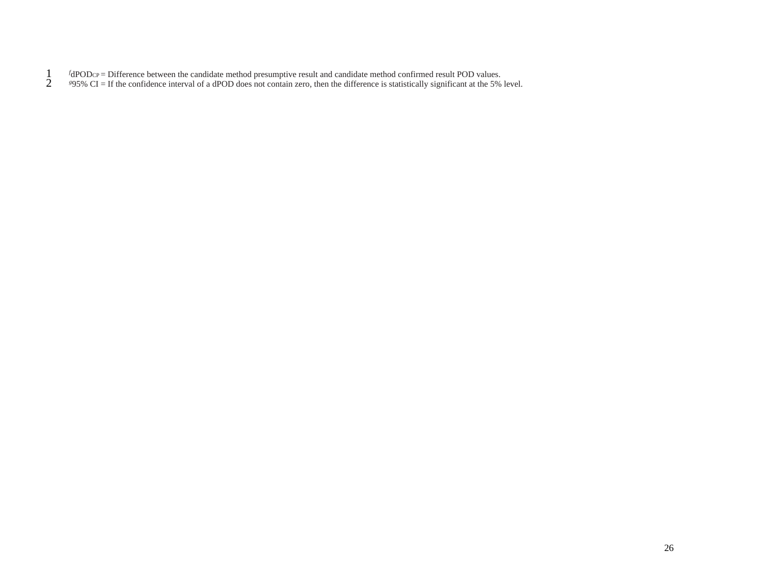- *f*  $f_{\text{dPODCP}} =$  Difference between the candidate method presumptive result and candidate method confirmed result POD values.<br><sup>*895%* CI = If the confidence interval of a dPOD does not contain zero, then the difference i</sup>
- <sup>*g*</sup> 25% CI = If the confidence interval of a dPOD does not contain zero, then the difference is statistically significant at the 5% level.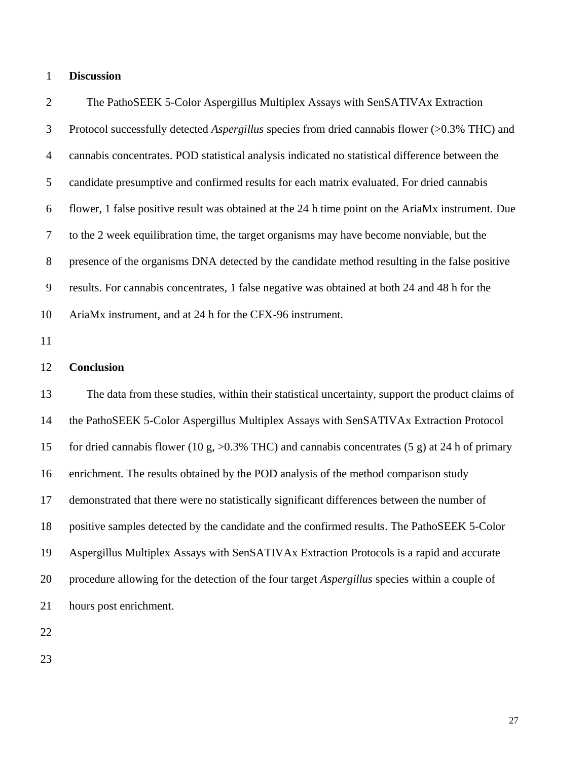#### **Discussion**

 The PathoSEEK 5-Color Aspergillus Multiplex Assays with SenSATIVAx Extraction Protocol successfully detected *Aspergillus* species from dried cannabis flower (>0.3% THC) and cannabis concentrates. POD statistical analysis indicated no statistical difference between the candidate presumptive and confirmed results for each matrix evaluated. For dried cannabis flower, 1 false positive result was obtained at the 24 h time point on the AriaMx instrument. Due to the 2 week equilibration time, the target organisms may have become nonviable, but the presence of the organisms DNA detected by the candidate method resulting in the false positive results. For cannabis concentrates, 1 false negative was obtained at both 24 and 48 h for the AriaMx instrument, and at 24 h for the CFX-96 instrument.

#### **Conclusion**

 The data from these studies, within their statistical uncertainty, support the product claims of the PathoSEEK 5-Color Aspergillus Multiplex Assays with SenSATIVAx Extraction Protocol for dried cannabis flower (10 g, >0.3% THC) and cannabis concentrates (5 g) at 24 h of primary enrichment. The results obtained by the POD analysis of the method comparison study demonstrated that there were no statistically significant differences between the number of positive samples detected by the candidate and the confirmed results. The PathoSEEK 5-Color Aspergillus Multiplex Assays with SenSATIVAx Extraction Protocols is a rapid and accurate procedure allowing for the detection of the four target *Aspergillus* species within a couple of hours post enrichment.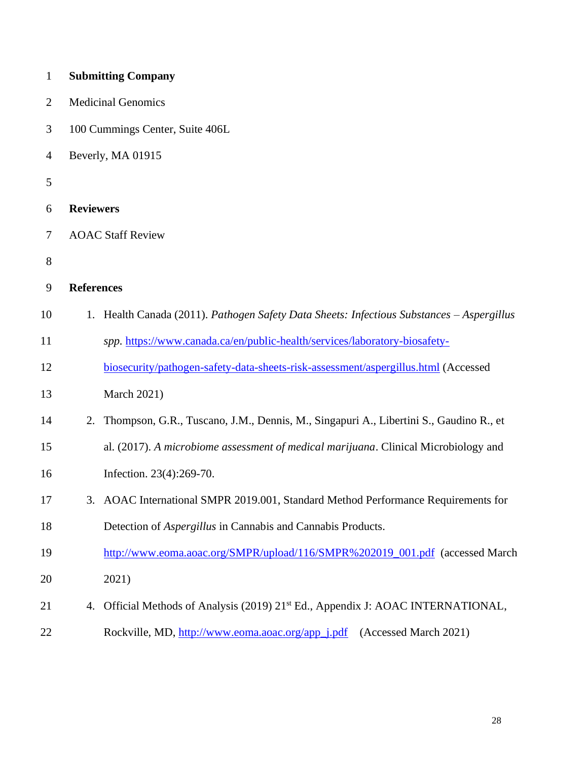| $\mathbf{1}$   |                   | <b>Submitting Company</b>                                                                 |
|----------------|-------------------|-------------------------------------------------------------------------------------------|
| $\overline{2}$ |                   | <b>Medicinal Genomics</b>                                                                 |
| 3              |                   | 100 Cummings Center, Suite 406L                                                           |
| $\overline{4}$ |                   | Beverly, MA 01915                                                                         |
| 5              |                   |                                                                                           |
| 6              | <b>Reviewers</b>  |                                                                                           |
| 7              |                   | <b>AOAC Staff Review</b>                                                                  |
| 8              |                   |                                                                                           |
| 9              | <b>References</b> |                                                                                           |
| 10             |                   | 1. Health Canada (2011). Pathogen Safety Data Sheets: Infectious Substances - Aspergillus |
| 11             |                   | spp. https://www.canada.ca/en/public-health/services/laboratory-biosafety-                |
| 12             |                   | biosecurity/pathogen-safety-data-sheets-risk-assessment/aspergillus.html (Accessed        |
| 13             |                   | <b>March 2021)</b>                                                                        |
| 14             | 2.                | Thompson, G.R., Tuscano, J.M., Dennis, M., Singapuri A., Libertini S., Gaudino R., et     |
| 15             |                   | al. (2017). A microbiome assessment of medical marijuana. Clinical Microbiology and       |
| 16             |                   | Infection. 23(4):269-70.                                                                  |
| 17             |                   | 3. AOAC International SMPR 2019.001, Standard Method Performance Requirements for         |
| 18             |                   | Detection of Aspergillus in Cannabis and Cannabis Products.                               |
| 19             |                   | http://www.eoma.aoac.org/SMPR/upload/116/SMPR%202019_001.pdf (accessed March              |
| 20             |                   | 2021)                                                                                     |
| 21             | 4.                | Official Methods of Analysis (2019) 21 <sup>st</sup> Ed., Appendix J: AOAC INTERNATIONAL, |
| 22             |                   | Rockville, MD, http://www.eoma.aoac.org/app_j.pdf<br>(Accessed March 2021)                |